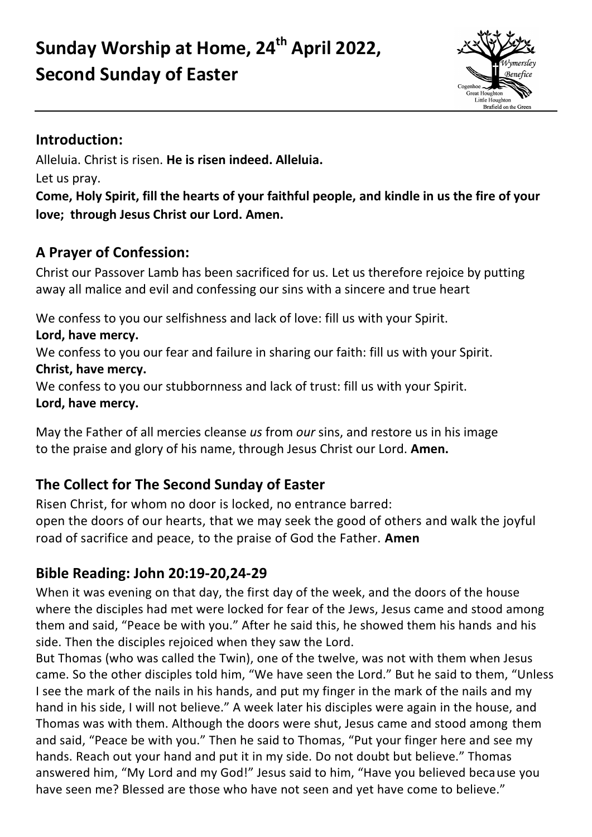# **Sunday Worship at Home, 24th April 2022, Second Sunday of Easter**



## **Introduction:**

Alleluia. Christ is risen. **He is risen indeed. Alleluia.** 

Let us pray.

**Come, Holy Spirit, fill the hearts of your faithful people, and kindle in us the fire of your love; through Jesus Christ our Lord. Amen.**

# **A Prayer of Confession:**

Christ our Passover Lamb has been sacrificed for us. Let us therefore rejoice by putting away all malice and evil and confessing our sins with a sincere and true heart

We confess to you our selfishness and lack of love: fill us with your Spirit.

**Lord, have mercy.**

We confess to you our fear and failure in sharing our faith: fill us with your Spirit. **Christ, have mercy.**

We confess to you our stubbornness and lack of trust: fill us with your Spirit. **Lord, have mercy.**

May the Father of all mercies cleanse *us* from *our* sins, and restore us in his image to the praise and glory of his name, through Jesus Christ our Lord. **Amen.**

# **The Collect for The Second Sunday of Easter**

Risen Christ, for whom no door is locked, no entrance barred: open the doors of our hearts, that we may seek the good of others and walk the joyful road of sacrifice and peace, to the praise of God the Father. **Amen**

## **Bible Reading: John 20:19-20,24-29**

When it was evening on that day, the first day of the week, and the doors of the house where the disciples had met were locked for fear of the Jews, Jesus came and stood among them and said, "Peace be with you." After he said this, he showed them his hands and his side. Then the disciples rejoiced when they saw the Lord.

But Thomas (who was called the Twin), one of the twelve, was not with them when Jesus came. So the other disciples told him, "We have seen the Lord." But he said to them, "Unless I see the mark of the nails in his hands, and put my finger in the mark of the nails and my hand in his side, I will not believe." A week later his disciples were again in the house, and Thomas was with them. Although the doors were shut, Jesus came and stood among them and said, "Peace be with you." Then he said to Thomas, "Put your finger here and see my hands. Reach out your hand and put it in my side. Do not doubt but believe." Thomas answered him, "My Lord and my God!" Jesus said to him, "Have you believed because you have seen me? Blessed are those who have not seen and yet have come to believe."